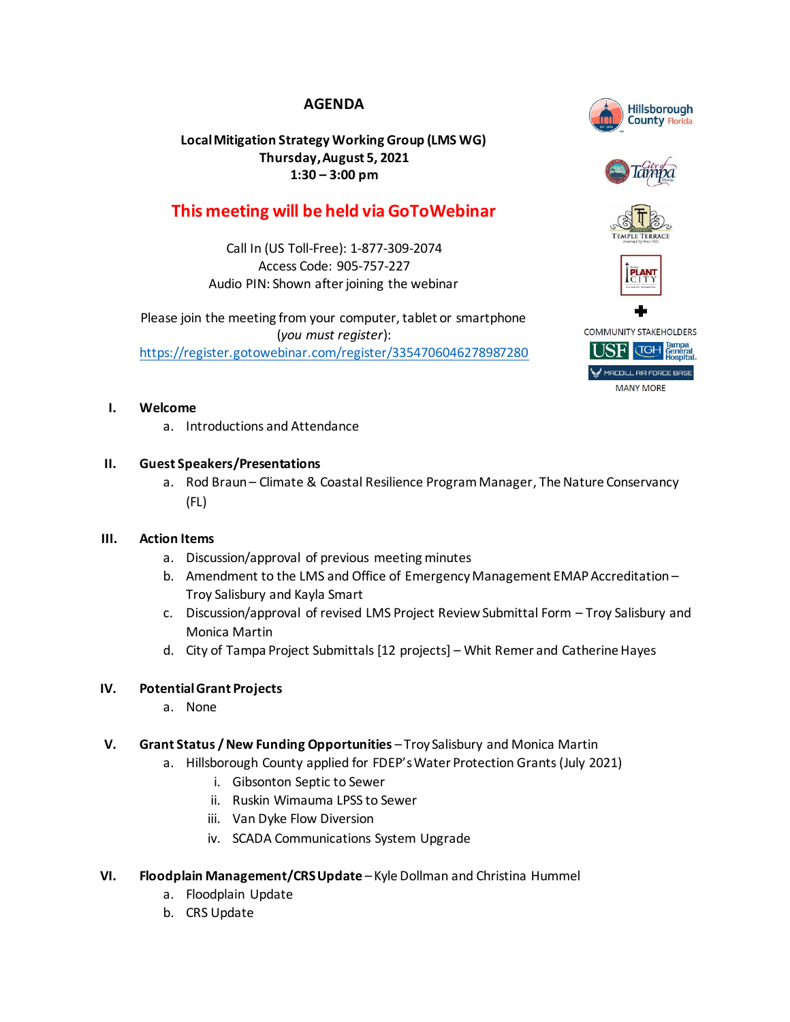# **AGENDA**

## **Local Mitigation Strategy Working Group (LMS WG) Thursday, August 5, 2021 1:30 – 3:00 pm**

# **This meeting will be held via GoToWebinar**

Call In (US Toll-Free): 1-877-309-2074 Access Code: 905-757-227 Audio PIN: Shown after joining the webinar

Please join the meeting from your computer, tablet or smartphone (*you must register*): <https://register.gotowebinar.com/register/3354706046278987280>

## **I. Welcome**

a. Introductions and Attendance

## **II. Guest Speakers/Presentations**

a. Rod Braun – Climate & Coastal Resilience Program Manager, The Nature Conservancy (FL)

## **III. Action Items**

- a. Discussion/approval of previous meeting minutes
- b. Amendment to the LMS and Office of Emergency Management EMAP Accreditation Troy Salisbury and Kayla Smart
- c. Discussion/approval of revised LMS Project Review Submittal Form Troy Salisbury and Monica Martin
- d. City of Tampa Project Submittals [12 projects] Whit Remer and Catherine Hayes

## **IV. Potential Grant Projects**

- a. None
- **V. Grant Status / New Funding Opportunities** Troy Salisbury and Monica Martin
	- a. Hillsborough County applied for FDEP's Water Protection Grants (July 2021)
		- i. Gibsonton Septic to Sewer
		- ii. Ruskin Wimauma LPSS to Sewer
		- iii. Van Dyke Flow Diversion
		- iv. SCADA Communications System Upgrade
- **VI. Floodplain Management/CRSUpdate** Kyle Dollman and Christina Hummel
	- a. Floodplain Update
	- b. CRS Update